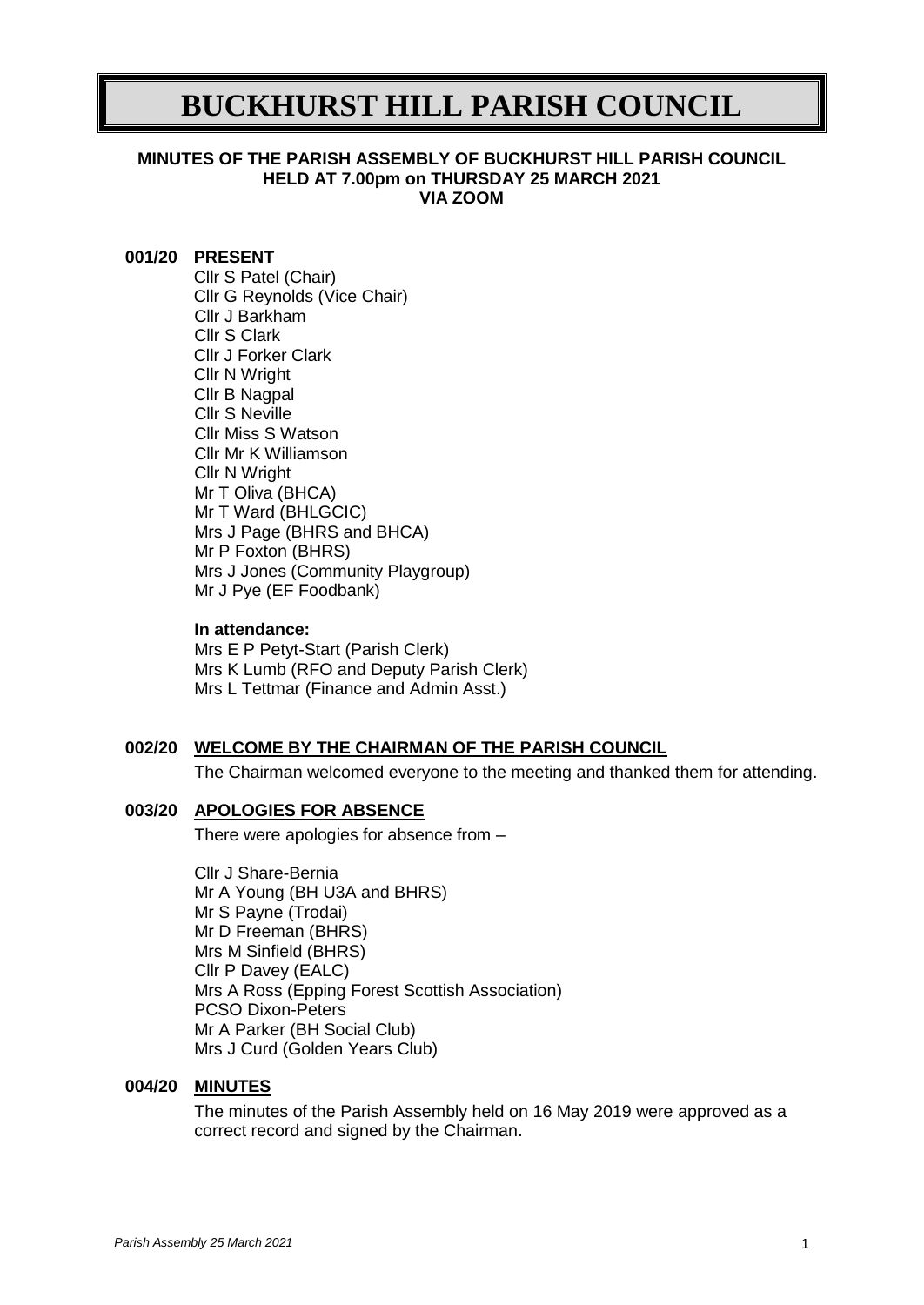# **BUCKHURST HILL PARISH COUNCIL**

#### **MINUTES OF THE PARISH ASSEMBLY OF BUCKHURST HILL PARISH COUNCIL HELD AT 7.00pm on THURSDAY 25 MARCH 2021 VIA ZOOM**

#### **001/20 PRESENT**

Cllr S Patel (Chair) Cllr G Reynolds (Vice Chair) Cllr J Barkham Cllr S Clark Cllr J Forker Clark Cllr N Wright Cllr B Nagpal Cllr S Neville Cllr Miss S Watson Cllr Mr K Williamson Cllr N Wright Mr T Oliva (BHCA) Mr T Ward (BHLGCIC) Mrs J Page (BHRS and BHCA) Mr P Foxton (BHRS) Mrs J Jones (Community Playgroup) Mr J Pye (EF Foodbank)

#### **In attendance:**

Mrs E P Petyt-Start (Parish Clerk) Mrs K Lumb (RFO and Deputy Parish Clerk) Mrs L Tettmar (Finance and Admin Asst.)

## **002/20 WELCOME BY THE CHAIRMAN OF THE PARISH COUNCIL**

The Chairman welcomed everyone to the meeting and thanked them for attending.

## **003/20 APOLOGIES FOR ABSENCE**

There were apologies for absence from –

Cllr J Share-Bernia Mr A Young (BH U3A and BHRS) Mr S Payne (Trodai) Mr D Freeman (BHRS) Mrs M Sinfield (BHRS) Cllr P Davey (EALC) Mrs A Ross (Epping Forest Scottish Association) PCSO Dixon-Peters Mr A Parker (BH Social Club) Mrs J Curd (Golden Years Club)

#### **004/20 MINUTES**

The minutes of the Parish Assembly held on 16 May 2019 were approved as a correct record and signed by the Chairman.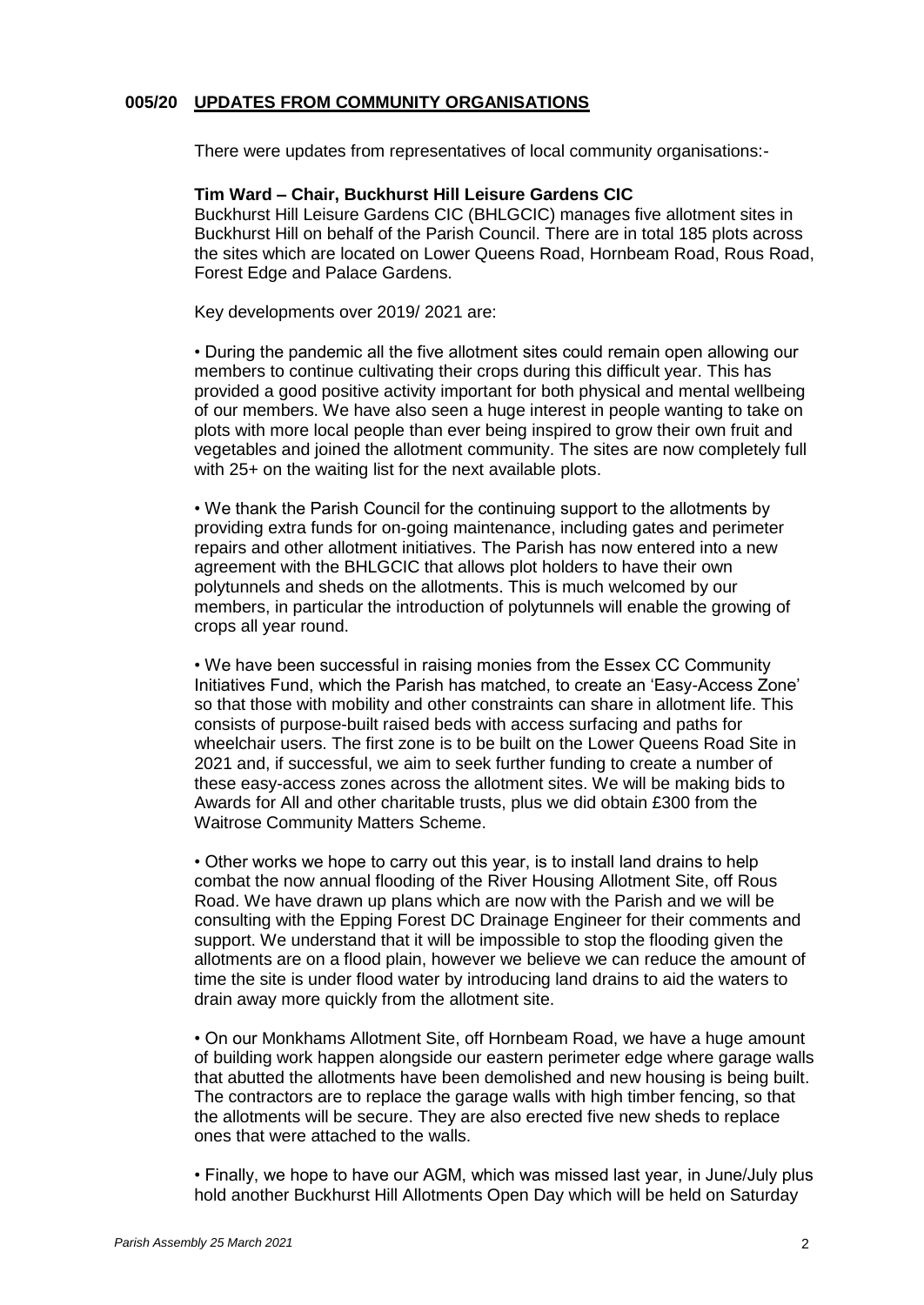## **005/20 UPDATES FROM COMMUNITY ORGANISATIONS**

There were updates from representatives of local community organisations:-

#### **Tim Ward – Chair, Buckhurst Hill Leisure Gardens CIC**

Buckhurst Hill Leisure Gardens CIC (BHLGCIC) manages five allotment sites in Buckhurst Hill on behalf of the Parish Council. There are in total 185 plots across the sites which are located on Lower Queens Road, Hornbeam Road, Rous Road, Forest Edge and Palace Gardens.

Key developments over 2019/ 2021 are:

• During the pandemic all the five allotment sites could remain open allowing our members to continue cultivating their crops during this difficult year. This has provided a good positive activity important for both physical and mental wellbeing of our members. We have also seen a huge interest in people wanting to take on plots with more local people than ever being inspired to grow their own fruit and vegetables and joined the allotment community. The sites are now completely full with 25+ on the waiting list for the next available plots.

• We thank the Parish Council for the continuing support to the allotments by providing extra funds for on-going maintenance, including gates and perimeter repairs and other allotment initiatives. The Parish has now entered into a new agreement with the BHLGCIC that allows plot holders to have their own polytunnels and sheds on the allotments. This is much welcomed by our members, in particular the introduction of polytunnels will enable the growing of crops all year round.

• We have been successful in raising monies from the Essex CC Community Initiatives Fund, which the Parish has matched, to create an 'Easy-Access Zone' so that those with mobility and other constraints can share in allotment life. This consists of purpose-built raised beds with access surfacing and paths for wheelchair users. The first zone is to be built on the Lower Queens Road Site in 2021 and, if successful, we aim to seek further funding to create a number of these easy-access zones across the allotment sites. We will be making bids to Awards for All and other charitable trusts, plus we did obtain £300 from the Waitrose Community Matters Scheme.

• Other works we hope to carry out this year, is to install land drains to help combat the now annual flooding of the River Housing Allotment Site, off Rous Road. We have drawn up plans which are now with the Parish and we will be consulting with the Epping Forest DC Drainage Engineer for their comments and support. We understand that it will be impossible to stop the flooding given the allotments are on a flood plain, however we believe we can reduce the amount of time the site is under flood water by introducing land drains to aid the waters to drain away more quickly from the allotment site.

• On our Monkhams Allotment Site, off Hornbeam Road, we have a huge amount of building work happen alongside our eastern perimeter edge where garage walls that abutted the allotments have been demolished and new housing is being built. The contractors are to replace the garage walls with high timber fencing, so that the allotments will be secure. They are also erected five new sheds to replace ones that were attached to the walls.

• Finally, we hope to have our AGM, which was missed last year, in June/July plus hold another Buckhurst Hill Allotments Open Day which will be held on Saturday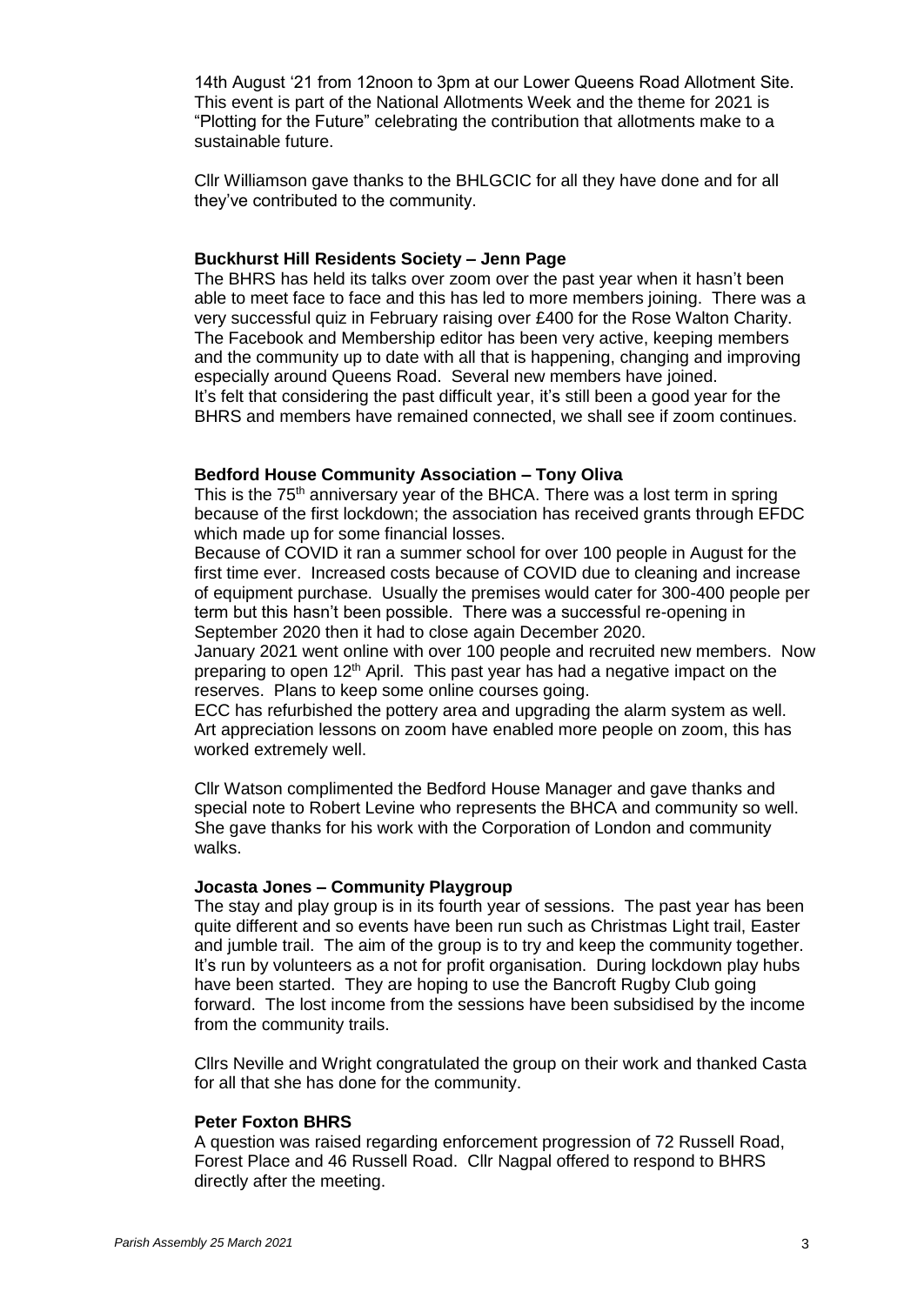14th August '21 from 12noon to 3pm at our Lower Queens Road Allotment Site. This event is part of the National Allotments Week and the theme for 2021 is "Plotting for the Future" celebrating the contribution that allotments make to a sustainable future.

Cllr Williamson gave thanks to the BHLGCIC for all they have done and for all they've contributed to the community.

#### **Buckhurst Hill Residents Society – Jenn Page**

The BHRS has held its talks over zoom over the past year when it hasn't been able to meet face to face and this has led to more members joining. There was a very successful quiz in February raising over £400 for the Rose Walton Charity. The Facebook and Membership editor has been very active, keeping members and the community up to date with all that is happening, changing and improving especially around Queens Road. Several new members have joined. It's felt that considering the past difficult year, it's still been a good year for the BHRS and members have remained connected, we shall see if zoom continues.

#### **Bedford House Community Association – Tony Oliva**

This is the  $75<sup>th</sup>$  anniversary year of the BHCA. There was a lost term in spring because of the first lockdown; the association has received grants through EFDC which made up for some financial losses.

Because of COVID it ran a summer school for over 100 people in August for the first time ever. Increased costs because of COVID due to cleaning and increase of equipment purchase. Usually the premises would cater for 300-400 people per term but this hasn't been possible. There was a successful re-opening in September 2020 then it had to close again December 2020.

January 2021 went online with over 100 people and recruited new members. Now preparing to open 12<sup>th</sup> April. This past year has had a negative impact on the reserves. Plans to keep some online courses going.

ECC has refurbished the pottery area and upgrading the alarm system as well. Art appreciation lessons on zoom have enabled more people on zoom, this has worked extremely well.

Cllr Watson complimented the Bedford House Manager and gave thanks and special note to Robert Levine who represents the BHCA and community so well. She gave thanks for his work with the Corporation of London and community walks.

#### **Jocasta Jones – Community Playgroup**

The stay and play group is in its fourth year of sessions. The past year has been quite different and so events have been run such as Christmas Light trail, Easter and jumble trail. The aim of the group is to try and keep the community together. It's run by volunteers as a not for profit organisation. During lockdown play hubs have been started. They are hoping to use the Bancroft Rugby Club going forward. The lost income from the sessions have been subsidised by the income from the community trails.

Cllrs Neville and Wright congratulated the group on their work and thanked Casta for all that she has done for the community.

#### **Peter Foxton BHRS**

A question was raised regarding enforcement progression of 72 Russell Road, Forest Place and 46 Russell Road. Cllr Nagpal offered to respond to BHRS directly after the meeting.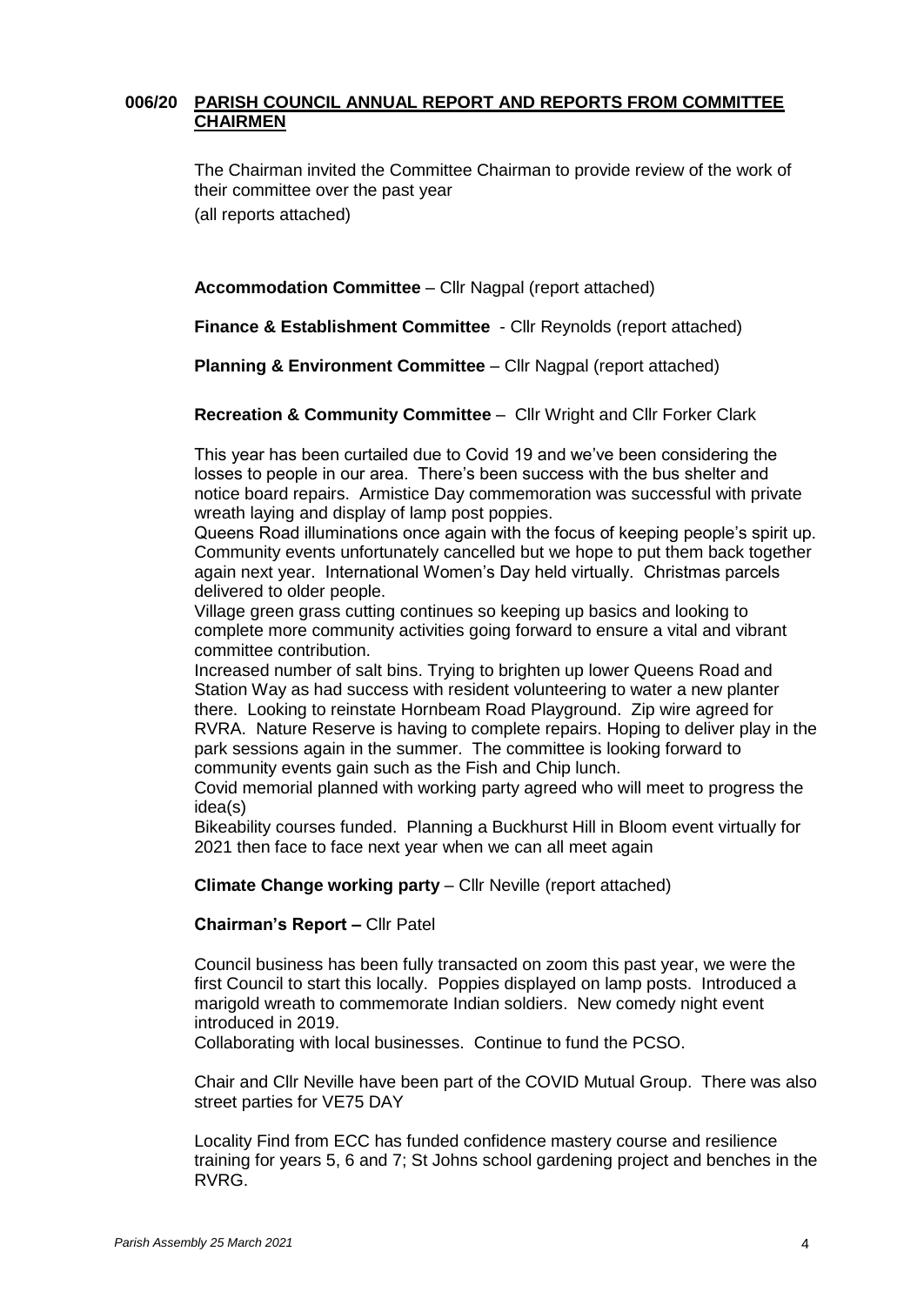## **006/20 PARISH COUNCIL ANNUAL REPORT AND REPORTS FROM COMMITTEE CHAIRMEN**

The Chairman invited the Committee Chairman to provide review of the work of their committee over the past year (all reports attached)

**Accommodation Committee** – Cllr Nagpal (report attached)

**Finance & Establishment Committee** - Cllr Reynolds (report attached)

**Planning & Environment Committee** – Cllr Nagpal (report attached)

**Recreation & Community Committee** – Cllr Wright and Cllr Forker Clark

This year has been curtailed due to Covid 19 and we've been considering the losses to people in our area. There's been success with the bus shelter and notice board repairs. Armistice Day commemoration was successful with private wreath laying and display of lamp post poppies.

Queens Road illuminations once again with the focus of keeping people's spirit up. Community events unfortunately cancelled but we hope to put them back together again next year. International Women's Day held virtually. Christmas parcels delivered to older people.

Village green grass cutting continues so keeping up basics and looking to complete more community activities going forward to ensure a vital and vibrant committee contribution.

Increased number of salt bins. Trying to brighten up lower Queens Road and Station Way as had success with resident volunteering to water a new planter there. Looking to reinstate Hornbeam Road Playground. Zip wire agreed for RVRA. Nature Reserve is having to complete repairs. Hoping to deliver play in the park sessions again in the summer. The committee is looking forward to community events gain such as the Fish and Chip lunch.

Covid memorial planned with working party agreed who will meet to progress the idea(s)

Bikeability courses funded. Planning a Buckhurst Hill in Bloom event virtually for 2021 then face to face next year when we can all meet again

**Climate Change working party** – Cllr Neville (report attached)

#### **Chairman's Report –** Cllr Patel

Council business has been fully transacted on zoom this past year, we were the first Council to start this locally. Poppies displayed on lamp posts. Introduced a marigold wreath to commemorate Indian soldiers. New comedy night event introduced in 2019.

Collaborating with local businesses. Continue to fund the PCSO.

Chair and Cllr Neville have been part of the COVID Mutual Group. There was also street parties for VE75 DAY

Locality Find from ECC has funded confidence mastery course and resilience training for years 5, 6 and 7; St Johns school gardening project and benches in the RVRG.